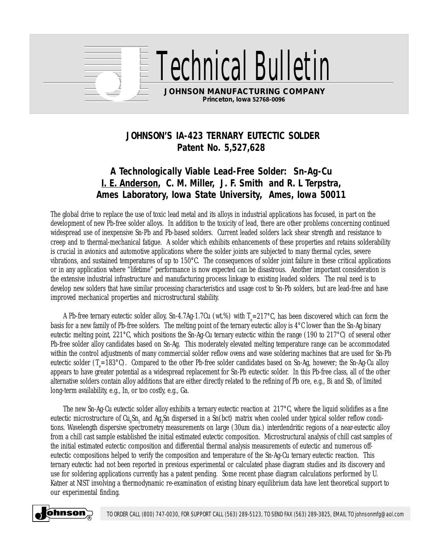

rical Bullet

**JOHNSON MANUFACTURING COMPANY Princeton, Iowa 52768-0096**

## **JOHNSON'S IA-423 TERNARY EUTECTIC SOLDER Patent No. 5,527,628**

## **A Technologically Viable Lead-Free Solder: Sn-Ag-Cu I. E. Anderson, C. M. Miller, J. F. Smith and R. L Terpstra, Ames Laboratory, Iowa State University, Ames, Iowa 50011**

The global drive to replace the use of toxic lead metal and its alloys in industrial applications has focused, in part on the development of new Pb-free solder alloys. In addition to the toxicity of lead, there are other problems concerning continued widespread use of inexpensive Sn-Pb and Pb-based solders. Current leaded solders lack shear strength and resistance to creep and to thermal-mechanical fatigue. A solder which exhibits enhancements of these properties and retains solderability is crucial in avionics and automotive applications where the solder joints are subjected to many thermal cycles, severe vibrations, and sustained temperatures of up to 150°C. The consequences of solder joint failure in these critical applications or in any application where "lifetime" performance is now expected can be disastrous. Another important consideration is the extensive industrial infrastructure and manufacturing process linkage to existing leaded solders. The real need is to develop new solders that have similar processing characteristics and usage cost to Sn-Pb solders, but are lead-free and have improved mechanical properties and microstructural stability.

A Pb-free ternary eutectic solder alloy, Sn-4.7Ag-1.7Cu (wt.%) with T $_{\rm e}$ =217°C, has been discovered which can form the basis for a new family of Pb-free solders. The melting point of the ternary eutectic alloy is 4°C lower than the Sn-Ag binary eutectic melting point, 221°C, which positions the Sn-Ag-Cu ternary eutectic within the range (190 to 217°C) of several other Pb-free solder alloy candidates based on Sn-Ag. This moderately elevated melting temperature range can be accommodated within the control adjustments of many commercial solder reflow ovens and wave soldering machines that are used for Sn-Pb eutectic solder (T<sub>e</sub>=183°C). Compared to the other Pb-free solder candidates based on Sn-Ag, however; the Sn-Ag-Cu alloy appears to have greater potential as a widespread replacement for Sn-Pb eutectic solder. In this Pb-free class, all of the other alternative solders contain alloy additions that are either directly related to the refining of Pb ore, e.g., Bi and Sb, of limited long-term availability, e.g., In, or too costly, e.g., Ga.

The new Sn-Ag-Cu eutectic solder alloy exhibits a ternary eutectic reaction at  $217^{\circ}$ C, where the liquid solidifies as a fine eutectic microstructure of Cu<sub>6</sub>Sn<sub>5</sub> and Ag<sub>3</sub>Sn dispersed in a Sn(bct) matrix when cooled under typical solder reflow conditions. Wavelength dispersive spectrometry measurements on large (30um dia.) interdendritic regions of a near-eutectic alloy from a chill cast sample established the initial estimated eutectic composition. Microstructural analysis of chill cast samples of the initial estimated eutectic composition and differential thermal analysis measurements of eutectic and numerous offeutectic compositions helped to verify the composition and temperature of the Sn-Ag-Cu ternary eutectic reaction. This ternary eutectic had not been reported in previous experimental or calculated phase diagram studies and its discovery and use for soldering applications currently has a patent pending. Some recent phase diagram calculations performed by U. Katner at NIST involving a thermodynamic re-examination of existing binary equilibrium data have lent theoretical support to our experimental finding.